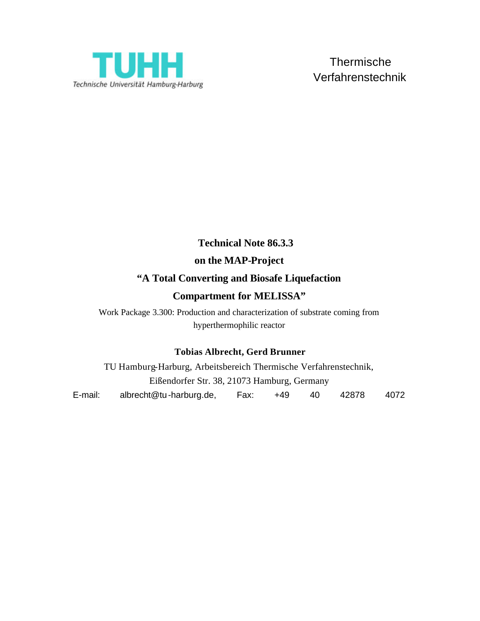

# **Technical Note 86.3.3 on the MAP-Project "A Total Converting and Biosafe Liquefaction**

### **Compartment for MELISSA"**

Work Package 3.300: Production and characterization of substrate coming from hyperthermophilic reactor

#### **Tobias Albrecht, Gerd Brunner**

TU Hamburg-Harburg, Arbeitsbereich Thermische Verfahrenstechnik, Eißendorfer Str. 38, 21073 Hamburg, Germany E-mail: albrecht@tu-harburg.de, Fax: +49 40 42878 4072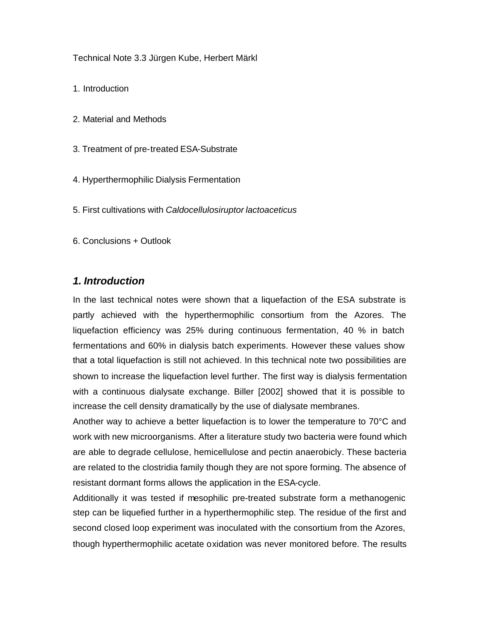Technical Note 3.3 Jürgen Kube, Herbert Märkl

- 1. Introduction
- 2. Material and Methods
- 3. Treatment of pre-treated ESA-Substrate
- 4. Hyperthermophilic Dialysis Fermentation
- 5. First cultivations with *Caldocellulosiruptor lactoaceticus*
- 6. Conclusions + Outlook

#### *1. Introduction*

In the last technical notes were shown that a liquefaction of the ESA substrate is partly achieved with the hyperthermophilic consortium from the Azores. The liquefaction efficiency was 25% during continuous fermentation, 40 % in batch fermentations and 60% in dialysis batch experiments. However these values show that a total liquefaction is still not achieved. In this technical note two possibilities are shown to increase the liquefaction level further. The first way is dialysis fermentation with a continuous dialysate exchange. Biller [2002] showed that it is possible to increase the cell density dramatically by the use of dialysate membranes.

Another way to achieve a better liquefaction is to lower the temperature to 70°C and work with new microorganisms. After a literature study two bacteria were found which are able to degrade cellulose, hemicellulose and pectin anaerobicly. These bacteria are related to the clostridia family though they are not spore forming. The absence of resistant dormant forms allows the application in the ESA-cycle.

Additionally it was tested if mesophilic pre-treated substrate form a methanogenic step can be liquefied further in a hyperthermophilic step. The residue of the first and second closed loop experiment was inoculated with the consortium from the Azores, though hyperthermophilic acetate oxidation was never monitored before. The results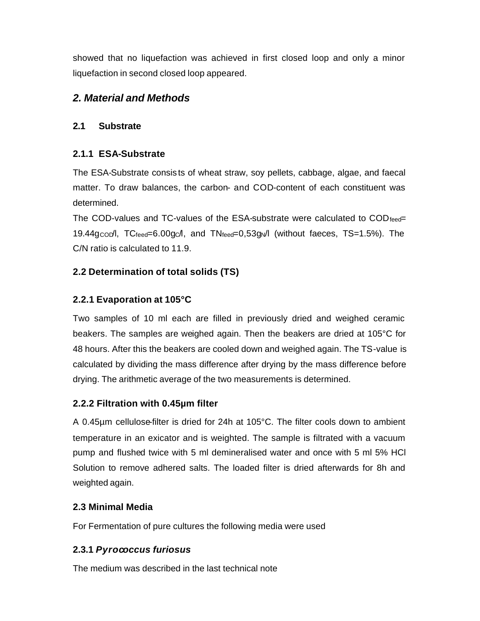showed that no liquefaction was achieved in first closed loop and only a minor liquefaction in second closed loop appeared.

### *2. Material and Methods*

#### **2.1 Substrate**

### **2.1.1 ESA-Substrate**

The ESA-Substrate consis ts of wheat straw, soy pellets, cabbage, algae, and faecal matter. To draw balances, the carbon- and COD-content of each constituent was determined.

The COD-values and TC-values of the ESA-substrate were calculated to  $\text{COD}_{\text{feed}}$ 19.44gcopl,  $TC_{feed} = 6.00$ gcl, and  $TN_{feed} = 0.53$ g $N$ l (without faeces, TS=1.5%). The C/N ratio is calculated to 11.9.

### **2.2 Determination of total solids (TS)**

### **2.2.1 Evaporation at 105°C**

Two samples of 10 ml each are filled in previously dried and weighed ceramic beakers. The samples are weighed again. Then the beakers are dried at 105°C for 48 hours. After this the beakers are cooled down and weighed again. The TS-value is calculated by dividing the mass difference after drying by the mass difference before drying. The arithmetic average of the two measurements is determined.

### **2.2.2 Filtration with 0.45µm filter**

A 0.45µm cellulose-filter is dried for 24h at 105°C. The filter cools down to ambient temperature in an exicator and is weighted. The sample is filtrated with a vacuum pump and flushed twice with 5 ml demineralised water and once with 5 ml 5% HCl Solution to remove adhered salts. The loaded filter is dried afterwards for 8h and weighted again.

### **2.3 Minimal Media**

For Fermentation of pure cultures the following media were used

### **2.3.1** *Pyrococcus furiosus*

The medium was described in the last technical note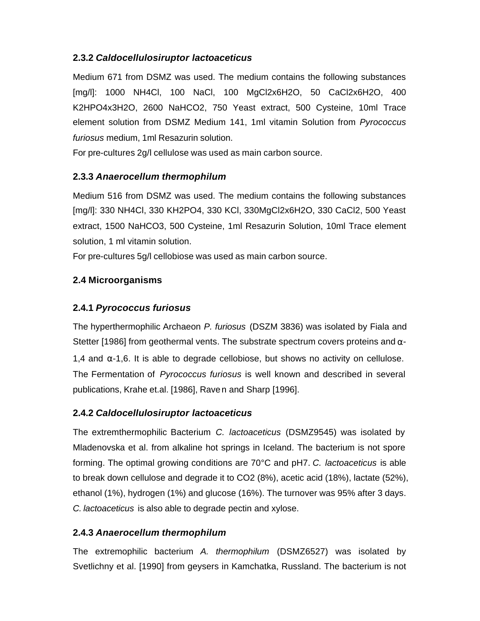#### **2.3.2** *Caldocellulosiruptor lactoaceticus*

Medium 671 from DSMZ was used. The medium contains the following substances [mg/l]: 1000 NH4Cl, 100 NaCl, 100 MgCl2x6H2O, 50 CaCl2x6H2O, 400 K2HPO4x3H2O, 2600 NaHCO2, 750 Yeast extract, 500 Cysteine, 10ml Trace element solution from DSMZ Medium 141, 1ml vitamin Solution from *Pyrococcus furiosus* medium, 1ml Resazurin solution.

For pre-cultures 2g/l cellulose was used as main carbon source.

#### **2.3.3** *Anaerocellum thermophilum*

Medium 516 from DSMZ was used. The medium contains the following substances [mg/l]: 330 NH4Cl, 330 KH2PO4, 330 KCl, 330MgCl2x6H2O, 330 CaCl2, 500 Yeast extract, 1500 NaHCO3, 500 Cysteine, 1ml Resazurin Solution, 10ml Trace element solution, 1 ml vitamin solution.

For pre-cultures 5g/l cellobiose was used as main carbon source.

### **2.4 Microorganisms**

### **2.4.1** *Pyrococcus furiosus*

The hyperthermophilic Archaeon *P. furiosus* (DSZM 3836) was isolated by Fiala and Stetter [1986] from geothermal vents. The substrate spectrum covers proteins and  $\alpha$ -1,4 and  $\alpha$ -1,6. It is able to degrade cellobiose, but shows no activity on cellulose. The Fermentation of *Pyrococcus furiosus* is well known and described in several publications, Krahe et.al. [1986], Raven and Sharp [1996].

#### **2.4.2** *Caldocellulosiruptor lactoaceticus*

The extremthermophilic Bacterium *C. lactoaceticus* (DSMZ9545) was isolated by Mladenovska et al. from alkaline hot springs in Iceland. The bacterium is not spore forming. The optimal growing conditions are 70°C and pH7. *C. lactoaceticus* is able to break down cellulose and degrade it to CO2 (8%), acetic acid (18%), lactate (52%), ethanol (1%), hydrogen (1%) and glucose (16%). The turnover was 95% after 3 days. *C. lactoaceticus* is also able to degrade pectin and xylose.

### **2.4.3** *Anaerocellum thermophilum*

The extremophilic bacterium *A. thermophilum* (DSMZ6527) was isolated by Svetlichny et al. [1990] from geysers in Kamchatka, Russland. The bacterium is not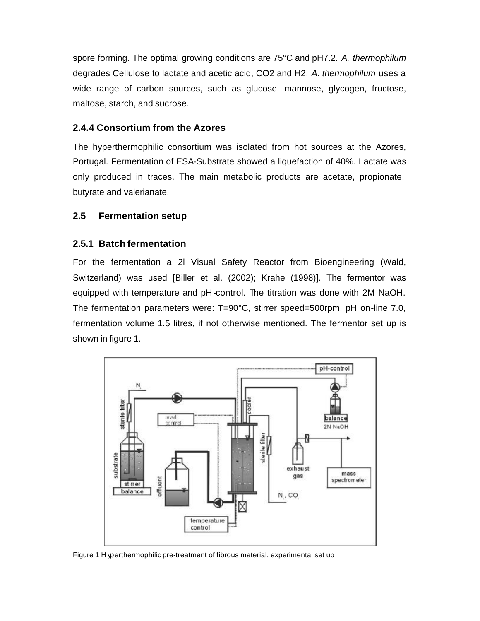spore forming. The optimal growing conditions are 75°C and pH7.2. *A. thermophilum* degrades Cellulose to lactate and acetic acid, CO2 and H2. *A. thermophilum* uses a wide range of carbon sources, such as glucose, mannose, glycogen, fructose, maltose, starch, and sucrose.

#### **2.4.4 Consortium from the Azores**

The hyperthermophilic consortium was isolated from hot sources at the Azores, Portugal. Fermentation of ESA-Substrate showed a liquefaction of 40%. Lactate was only produced in traces. The main metabolic products are acetate, propionate, butyrate and valerianate.

#### **2.5 Fermentation setup**

#### **2.5.1 Batch fermentation**

For the fermentation a 2l Visual Safety Reactor from Bioengineering (Wald, Switzerland) was used [Biller et al. (2002); Krahe (1998)]. The fermentor was equipped with temperature and pH-control. The titration was done with 2M NaOH. The fermentation parameters were: T=90°C, stirrer speed=500rpm, pH on-line 7.0, fermentation volume 1.5 litres, if not otherwise mentioned. The fermentor set up is shown in figure 1.



Figure 1 H yperthermophilic pre-treatment of fibrous material, experimental set up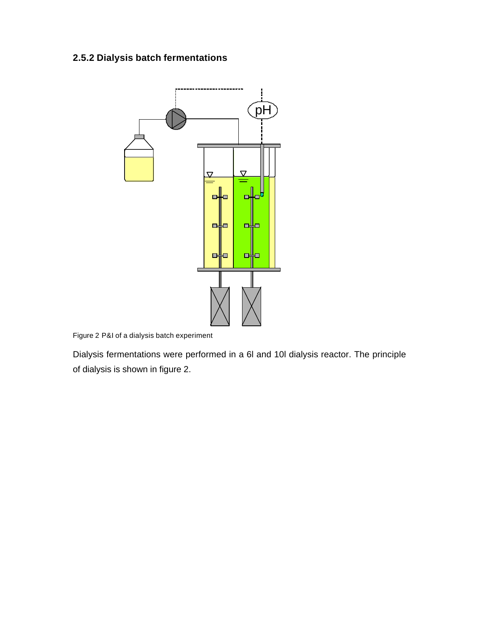### **2.5.2 Dialysis batch fermentations**



Figure 2 P&I of a dialysis batch experiment

Dialysis fermentations were performed in a 6l and 10l dialysis reactor. The principle of dialysis is shown in figure 2.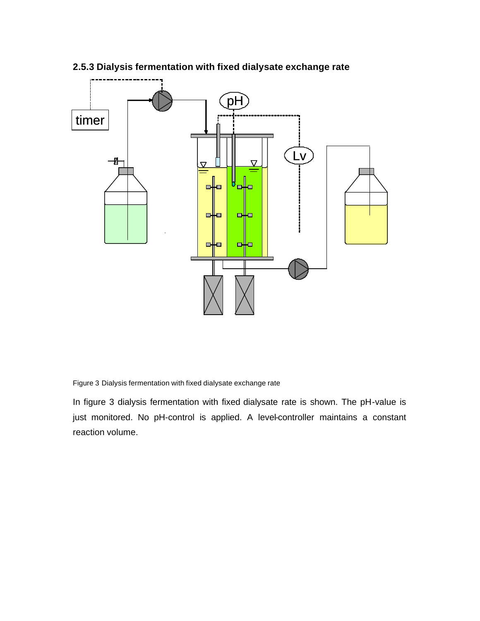

### **2.5.3 Dialysis fermentation with fixed dialysate exchange rate**

Figure 3 Dialysis fermentation with fixed dialysate exchange rate

In figure 3 dialysis fermentation with fixed dialysate rate is shown. The pH-value is just monitored. No pH-control is applied. A level-controller maintains a constant reaction volume.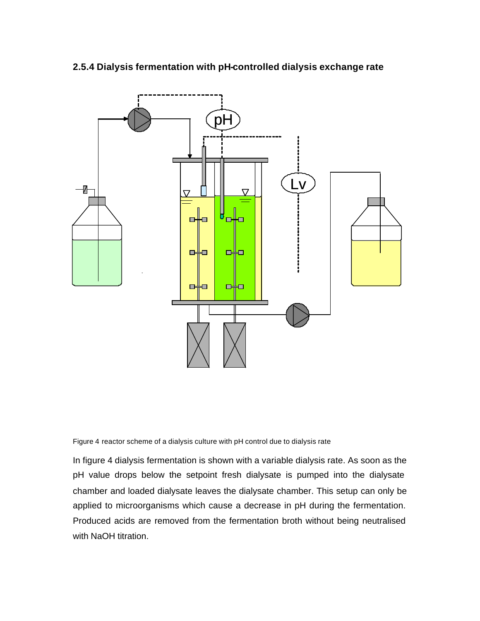

#### **2.5.4 Dialysis fermentation with pH-controlled dialysis exchange rate**

Figure 4 reactor scheme of a dialysis culture with pH control due to dialysis rate

In figure 4 dialysis fermentation is shown with a variable dialysis rate. As soon as the pH value drops below the setpoint fresh dialysate is pumped into the dialysate chamber and loaded dialysate leaves the dialysate chamber. This setup can only be applied to microorganisms which cause a decrease in pH during the fermentation. Produced acids are removed from the fermentation broth without being neutralised with NaOH titration.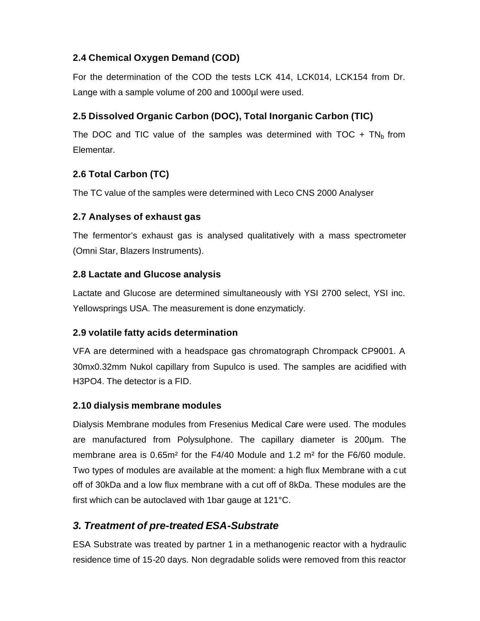### **2.4 Chemical Oxygen Demand (COD)**

For the determination of the COD the tests LCK 414, LCK014, LCK154 from Dr. Lange with a sample volume of 200 and 1000µl were used.

### **2.5 Dissolved Organic Carbon (DOC), Total Inorganic Carbon (TIC)**

The DOC and TIC value of the samples was determined with TOC  $+$  TN<sub>b</sub> from Elementar.

### **2.6 Total Carbon (TC)**

The TC value of the samples were determined with Leco CNS 2000 Analyser

### **2.7 Analyses of exhaust gas**

The fermentor's exhaust gas is analysed qualitatively with a mass spectrometer (Omni Star, Blazers Instruments).

### **2.8 Lactate and Glucose analysis**

Lactate and Glucose are determined simultaneously with YSI 2700 select, YSI inc. Yellowsprings USA. The measurement is done enzymaticly.

#### **2.9 volatile fatty acids determination**

VFA are determined with a headspace gas chromatograph Chrompack CP9001. A 30mx0.32mm Nukol capillary from Supulco is used. The samples are acidified with H3PO4. The detector is a FID.

#### **2.10 dialysis membrane modules**

Dialysis Membrane modules from Fresenius Medical Care were used. The modules are manufactured from Polysulphone. The capillary diameter is 200µm. The membrane area is 0.65m² for the F4/40 Module and 1.2 m² for the F6/60 module. Two types of modules are available at the moment: a high flux Membrane with a c ut off of 30kDa and a low flux membrane with a cut off of 8kDa. These modules are the first which can be autoclaved with 1bar gauge at 121°C.

### *3. Treatment of pre-treated ESA-Substrate*

ESA Substrate was treated by partner 1 in a methanogenic reactor with a hydraulic residence time of 15-20 days. Non degradable solids were removed from this reactor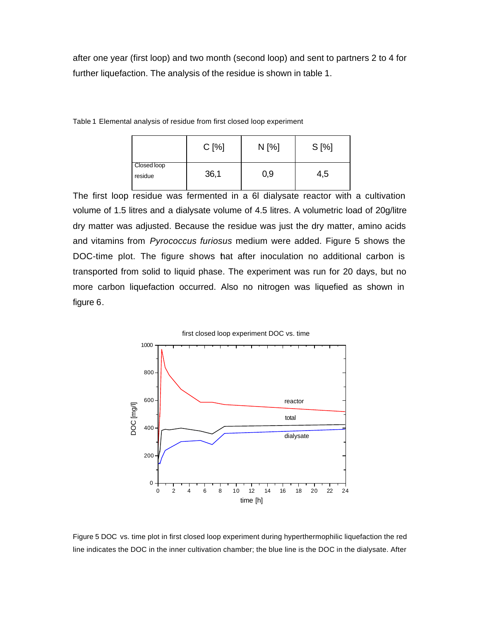after one year (first loop) and two month (second loop) and sent to partners 2 to 4 for further liquefaction. The analysis of the residue is shown in table 1.

|                        | $C[\%]$ | $N$ [%] | $S[\%]$ |
|------------------------|---------|---------|---------|
| Closed loop<br>residue | 36,1    | 0,9     | 4,5     |

Table 1 Elemental analysis of residue from first closed loop experiment

The first loop residue was fermented in a 6l dialysate reactor with a cultivation volume of 1.5 litres and a dialysate volume of 4.5 litres. A volumetric load of 20g/litre dry matter was adjusted. Because the residue was just the dry matter, amino acids and vitamins from *Pyrococcus furiosus* medium were added. Figure 5 shows the DOC-time plot. The figure shows that after inoculation no additional carbon is transported from solid to liquid phase. The experiment was run for 20 days, but no more carbon liquefaction occurred. Also no nitrogen was liquefied as shown in figure 6.



Figure 5 DOC vs. time plot in first closed loop experiment during hyperthermophilic liquefaction the red line indicates the DOC in the inner cultivation chamber; the blue line is the DOC in the dialysate. After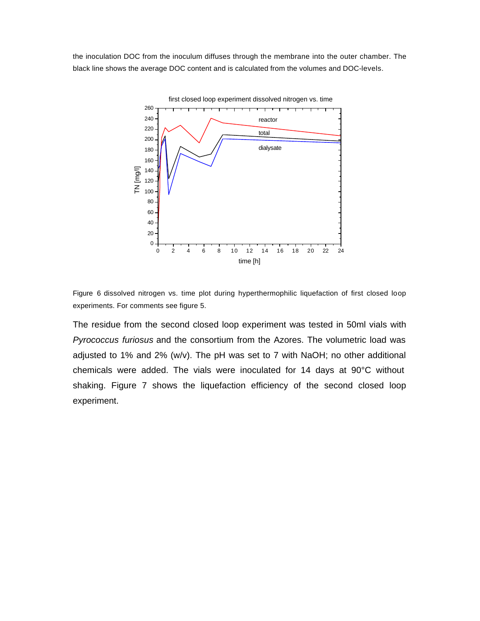the inoculation DOC from the inoculum diffuses through the membrane into the outer chamber. The black line shows the average DOC content and is calculated from the volumes and DOC-levels.



Figure 6 dissolved nitrogen vs. time plot during hyperthermophilic liquefaction of first closed loop experiments. For comments see figure 5.

The residue from the second closed loop experiment was tested in 50ml vials with *Pyrococcus furiosus* and the consortium from the Azores. The volumetric load was adjusted to 1% and 2% (w/v). The pH was set to 7 with NaOH; no other additional chemicals were added. The vials were inoculated for 14 days at 90°C without shaking. Figure 7 shows the liquefaction efficiency of the second closed loop experiment.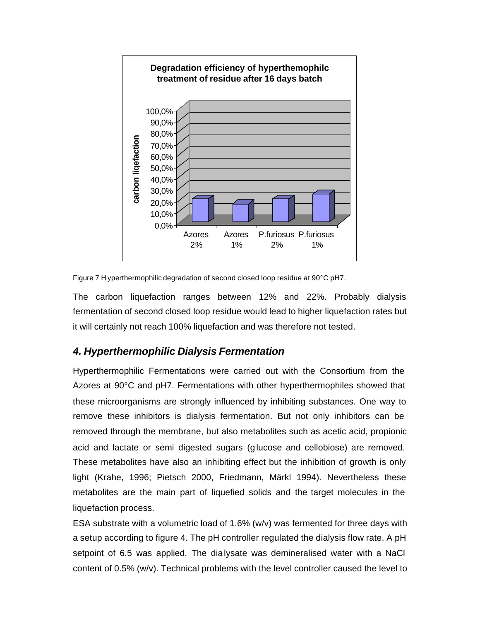

Figure 7 H yperthermophilic degradation of second closed loop residue at 90°C pH7.

The carbon liquefaction ranges between 12% and 22%. Probably dialysis fermentation of second closed loop residue would lead to higher liquefaction rates but it will certainly not reach 100% liquefaction and was therefore not tested.

### *4. Hyperthermophilic Dialysis Fermentation*

Hyperthermophilic Fermentations were carried out with the Consortium from the Azores at 90°C and pH7. Fermentations with other hyperthermophiles showed that these microorganisms are strongly influenced by inhibiting substances. One way to remove these inhibitors is dialysis fermentation. But not only inhibitors can be removed through the membrane, but also metabolites such as acetic acid, propionic acid and lactate or semi digested sugars (glucose and cellobiose) are removed. These metabolites have also an inhibiting effect but the inhibition of growth is only light (Krahe, 1996; Pietsch 2000, Friedmann, Märkl 1994). Nevertheless these metabolites are the main part of liquefied solids and the target molecules in the liquefaction process.

ESA substrate with a volumetric load of 1.6% (w/v) was fermented for three days with a setup according to figure 4. The pH controller regulated the dialysis flow rate. A pH setpoint of 6.5 was applied. The dialysate was demineralised water with a NaCl content of 0.5% (w/v). Technical problems with the level controller caused the level to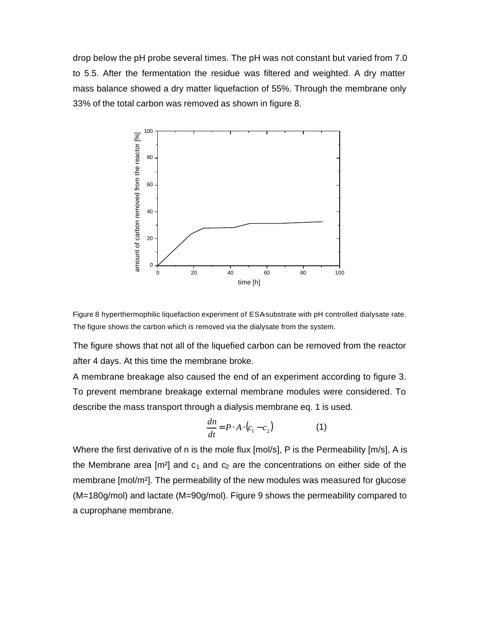drop below the pH probe several times. The pH was not constant but varied from 7.0 to 5.5. After the fermentation the residue was filtered and weighted. A dry matter mass balance showed a dry matter liquefaction of 55%. Through the membrane only 33% of the total carbon was removed as shown in figure 8.





The figure shows that not all of the liquefied carbon can be removed from the reactor after 4 days. At this time the membrane broke.

A membrane breakage also caused the end of an experiment according to figure 3. To prevent membrane breakage external membrane modules were considered. To describe the mass transport through a dialysis membrane eq. 1 is used.

$$
\frac{dn}{dt} = P \cdot A \cdot (c_1 - c_2) \tag{1}
$$

Where the first derivative of n is the mole flux [mol/s], P is the Permeability [m/s], A is the Membrane area  $[m^2]$  and  $c_1$  and  $c_2$  are the concentrations on either side of the membrane [mol/m²]. The permeability of the new modules was measured for glucose (M=180g/mol) and lactate (M=90g/mol). Figure 9 shows the permeability compared to a cuprophane membrane.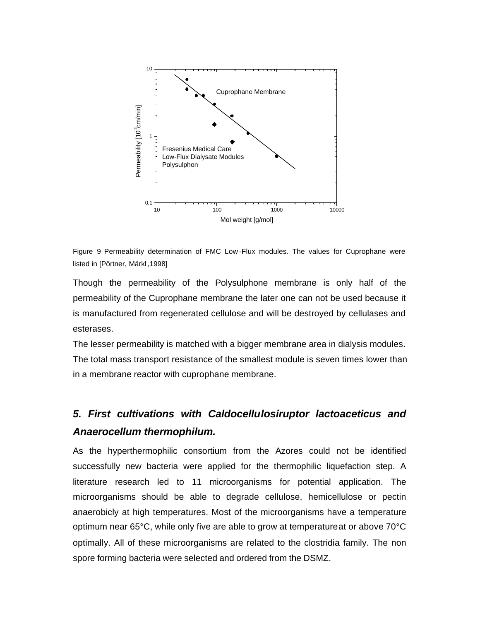

Figure 9 Permeability determination of FMC Low -Flux modules. The values for Cuprophane were listed in [Pörtner, Märkl ,1998]

Though the permeability of the Polysulphone membrane is only half of the permeability of the Cuprophane membrane the later one can not be used because it is manufactured from regenerated cellulose and will be destroyed by cellulases and esterases.

The lesser permeability is matched with a bigger membrane area in dialysis modules. The total mass transport resistance of the smallest module is seven times lower than in a membrane reactor with cuprophane membrane.

## *5. First cultivations with Caldocellulosiruptor lactoaceticus and Anaerocellum thermophilum.*

As the hyperthermophilic consortium from the Azores could not be identified successfully new bacteria were applied for the thermophilic liquefaction step. A literature research led to 11 microorganisms for potential application. The microorganisms should be able to degrade cellulose, hemicellulose or pectin anaerobicly at high temperatures. Most of the microorganisms have a temperature optimum near 65°C, while only five are able to grow at temperature at or above 70°C optimally. All of these microorganisms are related to the clostridia family. The non spore forming bacteria were selected and ordered from the DSMZ.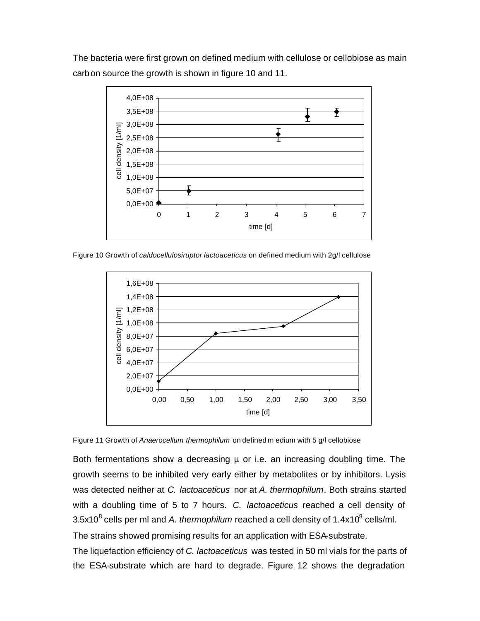The bacteria were first grown on defined medium with cellulose or cellobiose as main carbon source the growth is shown in figure 10 and 11.



Figure 10 Growth of *caldocellulosiruptor lactoaceticus* on defined medium with 2g/l cellulose



Figure 11 Growth of *Anaerocellum thermophilum* on defined m edium with 5 g/l cellobiose

Both fermentations show a decreasing µ or i.e. an increasing doubling time. The growth seems to be inhibited very early either by metabolites or by inhibitors. Lysis was detected neither at *C. lactoaceticus* nor at *A. thermophilum*. Both strains started with a doubling time of 5 to 7 hours. *C. lactoaceticus* reached a cell density of  $3.5$ x10 $^8$  cells per ml and *A. thermophilum* reached a cell density of 1.4x10 $^8$  cells/ml. The strains showed promising results for an application with ESA-substrate.

The liquefaction efficiency of *C. lactoaceticus* was tested in 50 ml vials for the parts of the ESA-substrate which are hard to degrade. Figure 12 shows the degradation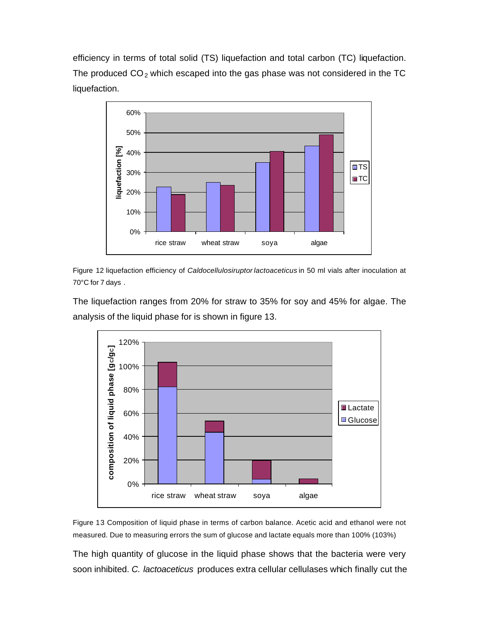efficiency in terms of total solid (TS) liquefaction and total carbon (TC) liquefaction. The produced  $CO<sub>2</sub>$  which escaped into the gas phase was not considered in the TC liquefaction.



Figure 12 liquefaction efficiency of *Caldocellulosiruptor lactoaceticus* in 50 ml vials after inoculation at 70°C for 7 days .

The liquefaction ranges from 20% for straw to 35% for soy and 45% for algae. The analysis of the liquid phase for is shown in figure 13.



Figure 13 Composition of liquid phase in terms of carbon balance. Acetic acid and ethanol were not measured. Due to measuring errors the sum of glucose and lactate equals more than 100% (103%)

The high quantity of glucose in the liquid phase shows that the bacteria were very soon inhibited. *C. lactoaceticus* produces extra cellular cellulases which finally cut the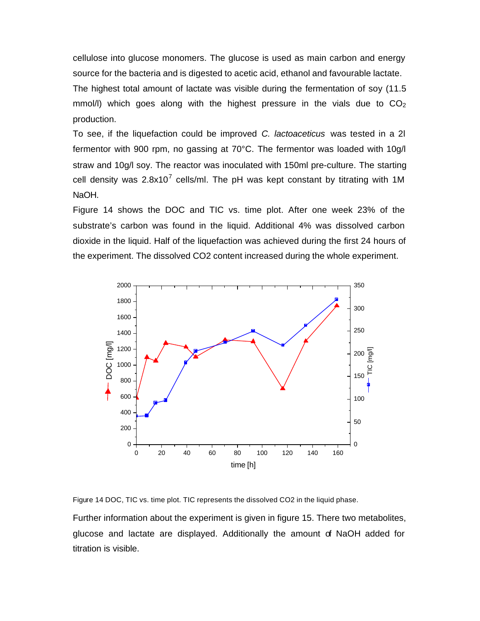cellulose into glucose monomers. The glucose is used as main carbon and energy source for the bacteria and is digested to acetic acid, ethanol and favourable lactate. The highest total amount of lactate was visible during the fermentation of soy (11.5 mmol/I) which goes along with the highest pressure in the vials due to  $CO<sub>2</sub>$ production.

To see, if the liquefaction could be improved *C. lactoaceticus* was tested in a 2l fermentor with 900 rpm, no gassing at 70°C. The fermentor was loaded with 10g/l straw and 10g/l soy. The reactor was inoculated with 150ml pre-culture. The starting cell density was 2.8x10<sup>7</sup> cells/ml. The pH was kept constant by titrating with 1M NaOH.

Figure 14 shows the DOC and TIC vs. time plot. After one week 23% of the substrate's carbon was found in the liquid. Additional 4% was dissolved carbon dioxide in the liquid. Half of the liquefaction was achieved during the first 24 hours of the experiment. The dissolved CO2 content increased during the whole experiment.



Figure 14 DOC, TIC vs. time plot. TIC represents the dissolved CO2 in the liquid phase.

Further information about the experiment is given in figure 15. There two metabolites, glucose and lactate are displayed. Additionally the amount of NaOH added for titration is visible.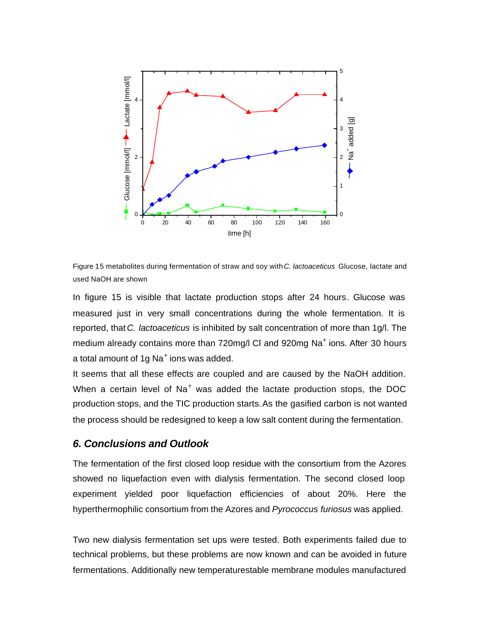

Figure 15 metabolites during fermentation of straw and soy with *C. lactoaceticus* Glucose, lactate and used NaOH are shown

In figure 15 is visible that lactate production stops after 24 hours. Glucose was measured just in very small concentrations during the whole fermentation. It is reported, that *C. lactoaceticus* is inhibited by salt concentration of more than 1g/l. The medium already contains more than 720mg/l CI and 920mg Na<sup>+</sup> ions. After 30 hours a total amount of 1g Na $^+$ ions was added.

It seems that all these effects are coupled and are caused by the NaOH addition. When a certain level of Na<sup>+</sup> was added the lactate production stops, the DOC production stops, and the TIC production starts. As the gasified carbon is not wanted the process should be redesigned to keep a low salt content during the fermentation.

#### *6. Conclusions and Outlook*

The fermentation of the first closed loop residue with the consortium from the Azores showed no liquefaction even with dialysis fermentation. The second closed loop experiment yielded poor liquefaction efficiencies of about 20%. Here the hyperthermophilic consortium from the Azores and *Pyrococcus furiosus* was applied.

Two new dialysis fermentation set ups were tested. Both experiments failed due to technical problems, but these problems are now known and can be avoided in future fermentations. Additionally new temperaturestable membrane modules manufactured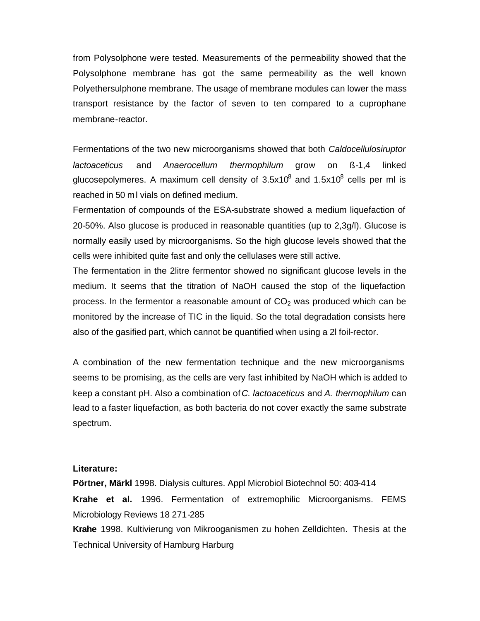from Polysolphone were tested. Measurements of the permeability showed that the Polysolphone membrane has got the same permeability as the well known Polyethersulphone membrane. The usage of membrane modules can lower the mass transport resistance by the factor of seven to ten compared to a cuprophane membrane-reactor.

Fermentations of the two new microorganisms showed that both *Caldocellulosiruptor lactoaceticus* and *Anaerocellum thermophilum* grow on ß-1,4 linked glucosepolymeres. A maximum cell density of  $3.5x10^8$  and  $1.5x10^8$  cells per ml is reached in 50 ml vials on defined medium.

Fermentation of compounds of the ESA-substrate showed a medium liquefaction of 20-50%. Also glucose is produced in reasonable quantities (up to 2,3g/l). Glucose is normally easily used by microorganisms. So the high glucose levels showed that the cells were inhibited quite fast and only the cellulases were still active.

The fermentation in the 2litre fermentor showed no significant glucose levels in the medium. It seems that the titration of NaOH caused the stop of the liquefaction process. In the fermentor a reasonable amount of  $CO<sub>2</sub>$  was produced which can be monitored by the increase of TIC in the liquid. So the total degradation consists here also of the gasified part, which cannot be quantified when using a 2l foil-rector.

A combination of the new fermentation technique and the new microorganisms seems to be promising, as the cells are very fast inhibited by NaOH which is added to keep a constant pH. Also a combination of *C. lactoaceticus* and *A. thermophilum* can lead to a faster liquefaction, as both bacteria do not cover exactly the same substrate spectrum.

#### **Literature:**

**Pörtner, Märkl** 1998. Dialysis cultures. Appl Microbiol Biotechnol 50: 403-414 **Krahe et al.** 1996. Fermentation of extremophilic Microorganisms. FEMS Microbiology Reviews 18 271-285 **Krahe** 1998. Kultivierung von Mikrooganismen zu hohen Zelldichten. Thesis at the Technical University of Hamburg Harburg